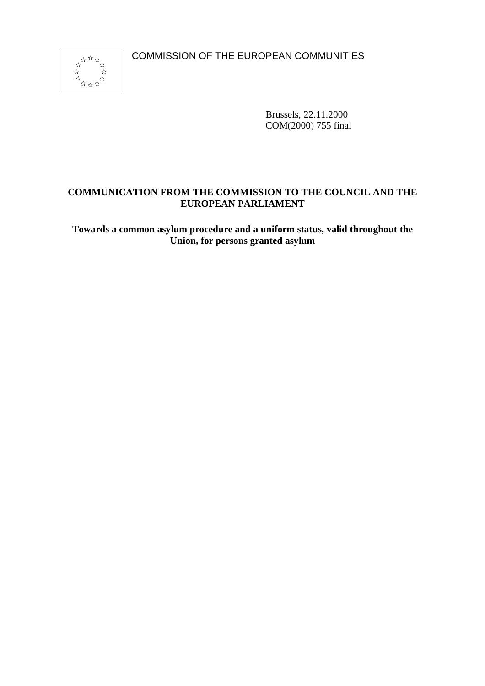COMMISSION OF THE EUROPEAN COMMUNITIES



Brussels, 22.11.2000 COM(2000) 755 final

# **COMMUNICATION FROM THE COMMISSION TO THE COUNCIL AND THE EUROPEAN PARLIAMENT**

**Towards a common asylum procedure and a uniform status, valid throughout the Union, for persons granted asylum**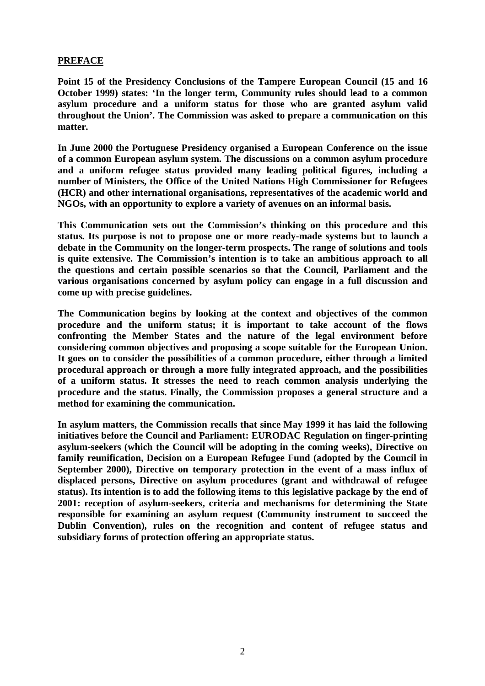### **PREFACE**

**Point 15 of the Presidency Conclusions of the Tampere European Council (15 and 16 October 1999) states: 'In the longer term, Community rules should lead to a common asylum procedure and a uniform status for those who are granted asylum valid throughout the Union'. The Commission was asked to prepare a communication on this matter.**

**In June 2000 the Portuguese Presidency organised a European Conference on the issue of a common European asylum system. The discussions on a common asylum procedure and a uniform refugee status provided many leading political figures, including a number of Ministers, the Office of the United Nations High Commissioner for Refugees (HCR) and other international organisations, representatives of the academic world and NGOs, with an opportunity to explore a variety of avenues on an informal basis.**

**This Communication sets out the Commission's thinking on this procedure and this status. Its purpose is not to propose one or more ready-made systems but to launch a debate in the Community on the longer-term prospects. The range of solutions and tools is quite extensive. The Commission's intention is to take an ambitious approach to all the questions and certain possible scenarios so that the Council, Parliament and the various organisations concerned by asylum policy can engage in a full discussion and come up with precise guidelines.**

**The Communication begins by looking at the context and objectives of the common procedure and the uniform status; it is important to take account of the flows confronting the Member States and the nature of the legal environment before considering common objectives and proposing a scope suitable for the European Union. It goes on to consider the possibilities of a common procedure, either through a limited procedural approach or through a more fully integrated approach, and the possibilities of a uniform status. It stresses the need to reach common analysis underlying the procedure and the status. Finally, the Commission proposes a general structure and a method for examining the communication.**

**In asylum matters, the Commission recalls that since May 1999 it has laid the following initiatives before the Council and Parliament: EURODAC Regulation on finger-printing asylum-seekers (which the Council will be adopting in the coming weeks), Directive on family reunification, Decision on a European Refugee Fund (adopted by the Council in September 2000), Directive on temporary protection in the event of a mass influx of displaced persons, Directive on asylum procedures (grant and withdrawal of refugee status). Its intention is to add the following items to this legislative package by the end of 2001: reception of asylum-seekers, criteria and mechanisms for determining the State responsible for examining an asylum request (Community instrument to succeed the Dublin Convention), rules on the recognition and content of refugee status and subsidiary forms of protection offering an appropriate status.**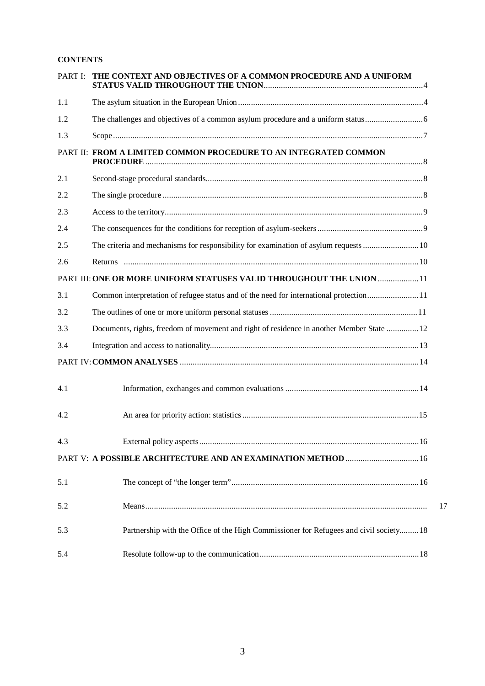### **CONTENTS**

| PART I: | THE CONTEXT AND OBJECTIVES OF A COMMON PROCEDURE AND A UNIFORM                            |
|---------|-------------------------------------------------------------------------------------------|
| 1.1     |                                                                                           |
| 1.2     |                                                                                           |
| 1.3     |                                                                                           |
|         | PART II: FROM A LIMITED COMMON PROCEDURE TO AN INTEGRATED COMMON                          |
| 2.1     |                                                                                           |
| 2.2     |                                                                                           |
| 2.3     |                                                                                           |
| 2.4     |                                                                                           |
| 2.5     |                                                                                           |
| 2.6     |                                                                                           |
|         | PART III: ONE OR MORE UNIFORM STATUSES VALID THROUGHOUT THE UNION  11                     |
| 3.1     | Common interpretation of refugee status and of the need for international protection 11   |
| 3.2     |                                                                                           |
| 3.3     | Documents, rights, freedom of movement and right of residence in another Member State  12 |
| 3.4     |                                                                                           |
|         |                                                                                           |
| 4.1     |                                                                                           |
| 4.2     |                                                                                           |
| 4.3     |                                                                                           |
|         | PART V: A POSSIBLE ARCHITECTURE AND AN EXAMINATION METHOD  16                             |
| 5.1     |                                                                                           |
| 5.2     |                                                                                           |
| 5.3     | Partnership with the Office of the High Commissioner for Refugees and civil society 18    |
| 5.4     |                                                                                           |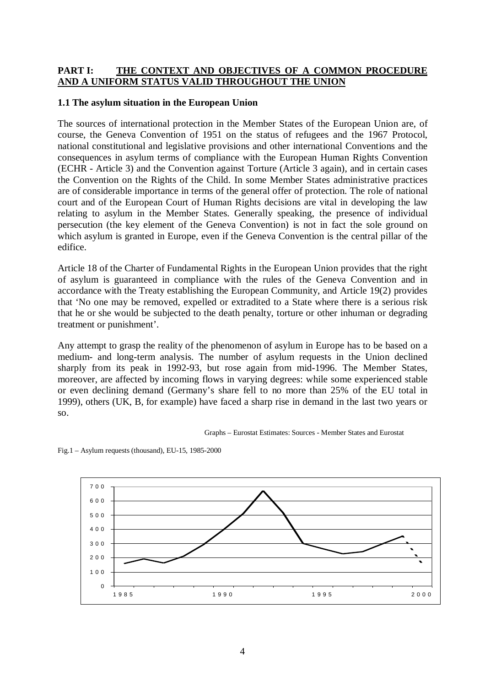#### **PART I: THE CONTEXT AND OBJECTIVES OF A COMMON PROCEDURE AND A UNIFORM STATUS VALID THROUGHOUT THE UNION**

#### **1.1 The asylum situation in the European Union**

The sources of international protection in the Member States of the European Union are, of course, the Geneva Convention of 1951 on the status of refugees and the 1967 Protocol, national constitutional and legislative provisions and other international Conventions and the consequences in asylum terms of compliance with the European Human Rights Convention (ECHR - Article 3) and the Convention against Torture (Article 3 again), and in certain cases the Convention on the Rights of the Child. In some Member States administrative practices are of considerable importance in terms of the general offer of protection. The role of national court and of the European Court of Human Rights decisions are vital in developing the law relating to asylum in the Member States. Generally speaking, the presence of individual persecution (the key element of the Geneva Convention) is not in fact the sole ground on which asylum is granted in Europe, even if the Geneva Convention is the central pillar of the edifice.

Article 18 of the Charter of Fundamental Rights in the European Union provides that the right of asylum is guaranteed in compliance with the rules of the Geneva Convention and in accordance with the Treaty establishing the European Community, and Article 19(2) provides that 'No one may be removed, expelled or extradited to a State where there is a serious risk that he or she would be subjected to the death penalty, torture or other inhuman or degrading treatment or punishment'.

Any attempt to grasp the reality of the phenomenon of asylum in Europe has to be based on a medium- and long-term analysis. The number of asylum requests in the Union declined sharply from its peak in 1992-93, but rose again from mid-1996. The Member States, moreover, are affected by incoming flows in varying degrees: while some experienced stable or even declining demand (Germany's share fell to no more than 25% of the EU total in 1999), others (UK, B, for example) have faced a sharp rise in demand in the last two years or so.





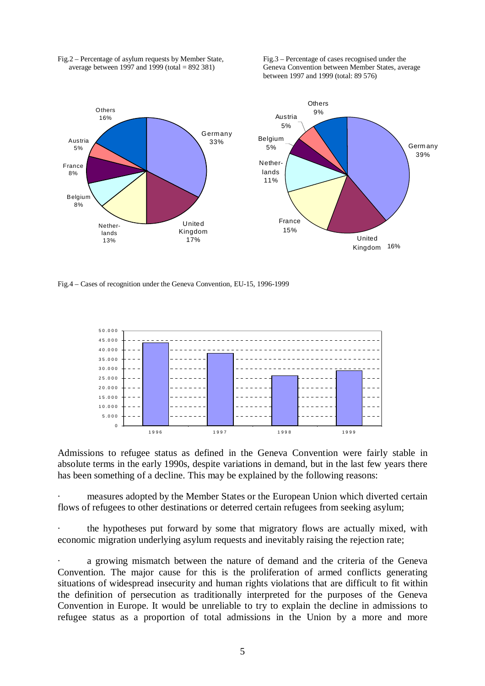

Fig.2 – Percentage of asylum requests by Member State, Fig.3 – Percentage of cases recognised under the average between 1997 and 1999 (total = 892 381) Geneva Convention between Member States, ave

Geneva Convention between Member States, average between 1997 and 1999 (total: 89 576)

Fig.4 – Cases of recognition under the Geneva Convention, EU-15, 1996-1999



Admissions to refugee status as defined in the Geneva Convention were fairly stable in absolute terms in the early 1990s, despite variations in demand, but in the last few years there has been something of a decline. This may be explained by the following reasons:

· measures adopted by the Member States or the European Union which diverted certain flows of refugees to other destinations or deterred certain refugees from seeking asylum;

the hypotheses put forward by some that migratory flows are actually mixed, with economic migration underlying asylum requests and inevitably raising the rejection rate;

a growing mismatch between the nature of demand and the criteria of the Geneva Convention. The major cause for this is the proliferation of armed conflicts generating situations of widespread insecurity and human rights violations that are difficult to fit within the definition of persecution as traditionally interpreted for the purposes of the Geneva Convention in Europe. It would be unreliable to try to explain the decline in admissions to refugee status as a proportion of total admissions in the Union by a more and more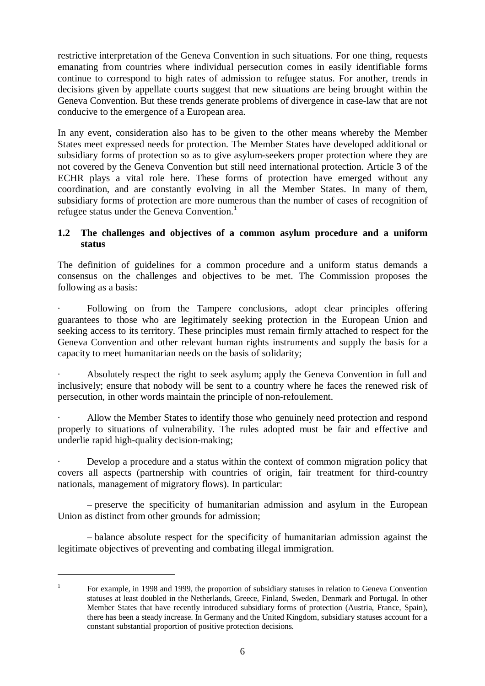restrictive interpretation of the Geneva Convention in such situations. For one thing, requests emanating from countries where individual persecution comes in easily identifiable forms continue to correspond to high rates of admission to refugee status. For another, trends in decisions given by appellate courts suggest that new situations are being brought within the Geneva Convention. But these trends generate problems of divergence in case-law that are not conducive to the emergence of a European area.

In any event, consideration also has to be given to the other means whereby the Member States meet expressed needs for protection. The Member States have developed additional or subsidiary forms of protection so as to give asylum-seekers proper protection where they are not covered by the Geneva Convention but still need international protection. Article 3 of the ECHR plays a vital role here. These forms of protection have emerged without any coordination, and are constantly evolving in all the Member States. In many of them, subsidiary forms of protection are more numerous than the number of cases of recognition of refugee status under the Geneva Convention.<sup>1</sup>

# **1.2 The challenges and objectives of a common asylum procedure and a uniform status**

The definition of guidelines for a common procedure and a uniform status demands a consensus on the challenges and objectives to be met. The Commission proposes the following as a basis:

Following on from the Tampere conclusions, adopt clear principles offering guarantees to those who are legitimately seeking protection in the European Union and seeking access to its territory. These principles must remain firmly attached to respect for the Geneva Convention and other relevant human rights instruments and supply the basis for a capacity to meet humanitarian needs on the basis of solidarity;

Absolutely respect the right to seek asylum; apply the Geneva Convention in full and inclusively; ensure that nobody will be sent to a country where he faces the renewed risk of persecution, in other words maintain the principle of non-refoulement.

· Allow the Member States to identify those who genuinely need protection and respond properly to situations of vulnerability. The rules adopted must be fair and effective and underlie rapid high-quality decision-making;

Develop a procedure and a status within the context of common migration policy that covers all aspects (partnership with countries of origin, fair treatment for third-country nationals, management of migratory flows). In particular:

– preserve the specificity of humanitarian admission and asylum in the European Union as distinct from other grounds for admission;

– balance absolute respect for the specificity of humanitarian admission against the legitimate objectives of preventing and combating illegal immigration.

<sup>&</sup>lt;sup>1</sup> For example, in 1998 and 1999, the proportion of subsidiary statuses in relation to Geneva Convention statuses at least doubled in the Netherlands, Greece, Finland, Sweden, Denmark and Portugal. In other Member States that have recently introduced subsidiary forms of protection (Austria, France, Spain), there has been a steady increase. In Germany and the United Kingdom, subsidiary statuses account for a constant substantial proportion of positive protection decisions.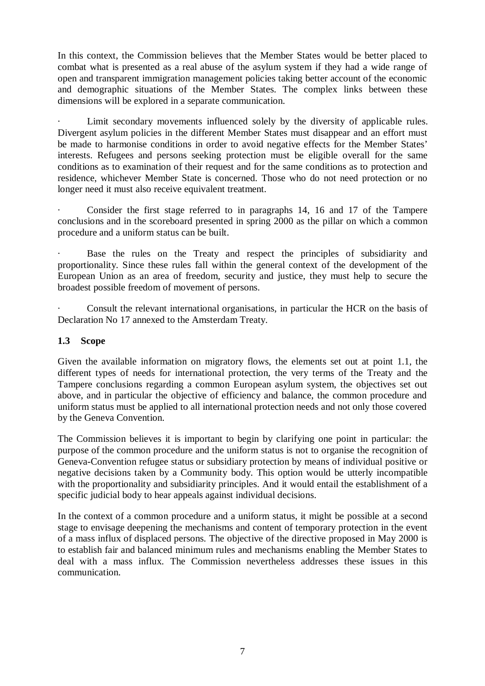In this context, the Commission believes that the Member States would be better placed to combat what is presented as a real abuse of the asylum system if they had a wide range of open and transparent immigration management policies taking better account of the economic and demographic situations of the Member States. The complex links between these dimensions will be explored in a separate communication.

Limit secondary movements influenced solely by the diversity of applicable rules. Divergent asylum policies in the different Member States must disappear and an effort must be made to harmonise conditions in order to avoid negative effects for the Member States' interests. Refugees and persons seeking protection must be eligible overall for the same conditions as to examination of their request and for the same conditions as to protection and residence, whichever Member State is concerned. Those who do not need protection or no longer need it must also receive equivalent treatment.

Consider the first stage referred to in paragraphs 14, 16 and 17 of the Tampere conclusions and in the scoreboard presented in spring 2000 as the pillar on which a common procedure and a uniform status can be built.

Base the rules on the Treaty and respect the principles of subsidiarity and proportionality. Since these rules fall within the general context of the development of the European Union as an area of freedom, security and justice, they must help to secure the broadest possible freedom of movement of persons.

Consult the relevant international organisations, in particular the HCR on the basis of Declaration No 17 annexed to the Amsterdam Treaty.

# **1.3 Scope**

Given the available information on migratory flows, the elements set out at point 1.1, the different types of needs for international protection, the very terms of the Treaty and the Tampere conclusions regarding a common European asylum system, the objectives set out above, and in particular the objective of efficiency and balance, the common procedure and uniform status must be applied to all international protection needs and not only those covered by the Geneva Convention.

The Commission believes it is important to begin by clarifying one point in particular: the purpose of the common procedure and the uniform status is not to organise the recognition of Geneva-Convention refugee status or subsidiary protection by means of individual positive or negative decisions taken by a Community body. This option would be utterly incompatible with the proportionality and subsidiarity principles. And it would entail the establishment of a specific judicial body to hear appeals against individual decisions.

In the context of a common procedure and a uniform status, it might be possible at a second stage to envisage deepening the mechanisms and content of temporary protection in the event of a mass influx of displaced persons. The objective of the directive proposed in May 2000 is to establish fair and balanced minimum rules and mechanisms enabling the Member States to deal with a mass influx. The Commission nevertheless addresses these issues in this communication.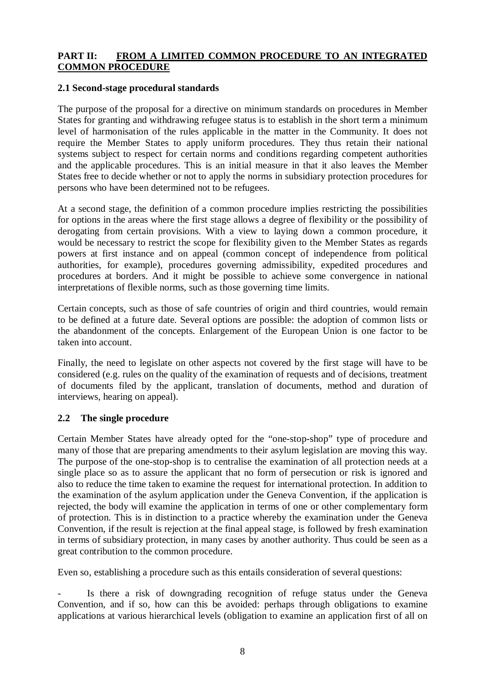### **PART II: FROM A LIMITED COMMON PROCEDURE TO AN INTEGRATED COMMON PROCEDURE**

### **2.1 Second-stage procedural standards**

The purpose of the proposal for a directive on minimum standards on procedures in Member States for granting and withdrawing refugee status is to establish in the short term a minimum level of harmonisation of the rules applicable in the matter in the Community. It does not require the Member States to apply uniform procedures. They thus retain their national systems subject to respect for certain norms and conditions regarding competent authorities and the applicable procedures. This is an initial measure in that it also leaves the Member States free to decide whether or not to apply the norms in subsidiary protection procedures for persons who have been determined not to be refugees.

At a second stage, the definition of a common procedure implies restricting the possibilities for options in the areas where the first stage allows a degree of flexibility or the possibility of derogating from certain provisions. With a view to laying down a common procedure, it would be necessary to restrict the scope for flexibility given to the Member States as regards powers at first instance and on appeal (common concept of independence from political authorities, for example), procedures governing admissibility, expedited procedures and procedures at borders. And it might be possible to achieve some convergence in national interpretations of flexible norms, such as those governing time limits.

Certain concepts, such as those of safe countries of origin and third countries, would remain to be defined at a future date. Several options are possible: the adoption of common lists or the abandonment of the concepts. Enlargement of the European Union is one factor to be taken into account.

Finally, the need to legislate on other aspects not covered by the first stage will have to be considered (e.g. rules on the quality of the examination of requests and of decisions, treatment of documents filed by the applicant, translation of documents, method and duration of interviews, hearing on appeal).

### **2.2 The single procedure**

Certain Member States have already opted for the "one-stop-shop" type of procedure and many of those that are preparing amendments to their asylum legislation are moving this way. The purpose of the one-stop-shop is to centralise the examination of all protection needs at a single place so as to assure the applicant that no form of persecution or risk is ignored and also to reduce the time taken to examine the request for international protection. In addition to the examination of the asylum application under the Geneva Convention, if the application is rejected, the body will examine the application in terms of one or other complementary form of protection. This is in distinction to a practice whereby the examination under the Geneva Convention, if the result is rejection at the final appeal stage, is followed by fresh examination in terms of subsidiary protection, in many cases by another authority. Thus could be seen as a great contribution to the common procedure.

Even so, establishing a procedure such as this entails consideration of several questions:

Is there a risk of downgrading recognition of refuge status under the Geneva Convention, and if so, how can this be avoided: perhaps through obligations to examine applications at various hierarchical levels (obligation to examine an application first of all on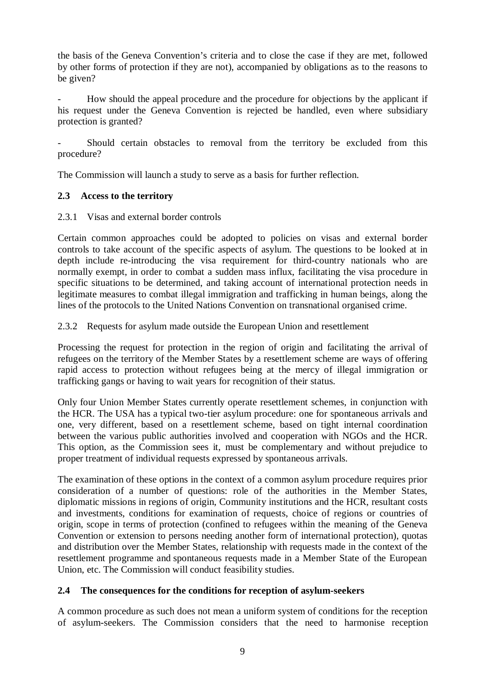the basis of the Geneva Convention's criteria and to close the case if they are met, followed by other forms of protection if they are not), accompanied by obligations as to the reasons to be given?

How should the appeal procedure and the procedure for objections by the applicant if his request under the Geneva Convention is rejected be handled, even where subsidiary protection is granted?

Should certain obstacles to removal from the territory be excluded from this procedure?

The Commission will launch a study to serve as a basis for further reflection.

### **2.3 Access to the territory**

2.3.1 Visas and external border controls

Certain common approaches could be adopted to policies on visas and external border controls to take account of the specific aspects of asylum. The questions to be looked at in depth include re-introducing the visa requirement for third-country nationals who are normally exempt, in order to combat a sudden mass influx, facilitating the visa procedure in specific situations to be determined, and taking account of international protection needs in legitimate measures to combat illegal immigration and trafficking in human beings, along the lines of the protocols to the United Nations Convention on transnational organised crime.

2.3.2 Requests for asylum made outside the European Union and resettlement

Processing the request for protection in the region of origin and facilitating the arrival of refugees on the territory of the Member States by a resettlement scheme are ways of offering rapid access to protection without refugees being at the mercy of illegal immigration or trafficking gangs or having to wait years for recognition of their status.

Only four Union Member States currently operate resettlement schemes, in conjunction with the HCR. The USA has a typical two-tier asylum procedure: one for spontaneous arrivals and one, very different, based on a resettlement scheme, based on tight internal coordination between the various public authorities involved and cooperation with NGOs and the HCR. This option, as the Commission sees it, must be complementary and without prejudice to proper treatment of individual requests expressed by spontaneous arrivals.

The examination of these options in the context of a common asylum procedure requires prior consideration of a number of questions: role of the authorities in the Member States, diplomatic missions in regions of origin, Community institutions and the HCR, resultant costs and investments, conditions for examination of requests, choice of regions or countries of origin, scope in terms of protection (confined to refugees within the meaning of the Geneva Convention or extension to persons needing another form of international protection), quotas and distribution over the Member States, relationship with requests made in the context of the resettlement programme and spontaneous requests made in a Member State of the European Union, etc. The Commission will conduct feasibility studies.

### **2.4 The consequences for the conditions for reception of asylum-seekers**

A common procedure as such does not mean a uniform system of conditions for the reception of asylum-seekers. The Commission considers that the need to harmonise reception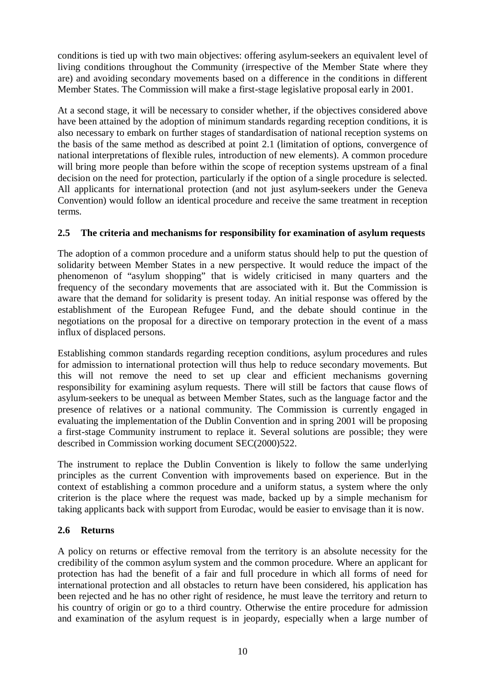conditions is tied up with two main objectives: offering asylum-seekers an equivalent level of living conditions throughout the Community (irrespective of the Member State where they are) and avoiding secondary movements based on a difference in the conditions in different Member States. The Commission will make a first-stage legislative proposal early in 2001.

At a second stage, it will be necessary to consider whether, if the objectives considered above have been attained by the adoption of minimum standards regarding reception conditions, it is also necessary to embark on further stages of standardisation of national reception systems on the basis of the same method as described at point 2.1 (limitation of options, convergence of national interpretations of flexible rules, introduction of new elements). A common procedure will bring more people than before within the scope of reception systems upstream of a final decision on the need for protection, particularly if the option of a single procedure is selected. All applicants for international protection (and not just asylum-seekers under the Geneva Convention) would follow an identical procedure and receive the same treatment in reception terms.

# **2.5 The criteria and mechanisms for responsibility for examination of asylum requests**

The adoption of a common procedure and a uniform status should help to put the question of solidarity between Member States in a new perspective. It would reduce the impact of the phenomenon of "asylum shopping" that is widely criticised in many quarters and the frequency of the secondary movements that are associated with it. But the Commission is aware that the demand for solidarity is present today. An initial response was offered by the establishment of the European Refugee Fund, and the debate should continue in the negotiations on the proposal for a directive on temporary protection in the event of a mass influx of displaced persons.

Establishing common standards regarding reception conditions, asylum procedures and rules for admission to international protection will thus help to reduce secondary movements. But this will not remove the need to set up clear and efficient mechanisms governing responsibility for examining asylum requests. There will still be factors that cause flows of asylum-seekers to be unequal as between Member States, such as the language factor and the presence of relatives or a national community. The Commission is currently engaged in evaluating the implementation of the Dublin Convention and in spring 2001 will be proposing a first-stage Community instrument to replace it. Several solutions are possible; they were described in Commission working document SEC(2000)522.

The instrument to replace the Dublin Convention is likely to follow the same underlying principles as the current Convention with improvements based on experience. But in the context of establishing a common procedure and a uniform status, a system where the only criterion is the place where the request was made, backed up by a simple mechanism for taking applicants back with support from Eurodac, would be easier to envisage than it is now.

### **2.6 Returns**

A policy on returns or effective removal from the territory is an absolute necessity for the credibility of the common asylum system and the common procedure. Where an applicant for protection has had the benefit of a fair and full procedure in which all forms of need for international protection and all obstacles to return have been considered, his application has been rejected and he has no other right of residence, he must leave the territory and return to his country of origin or go to a third country. Otherwise the entire procedure for admission and examination of the asylum request is in jeopardy, especially when a large number of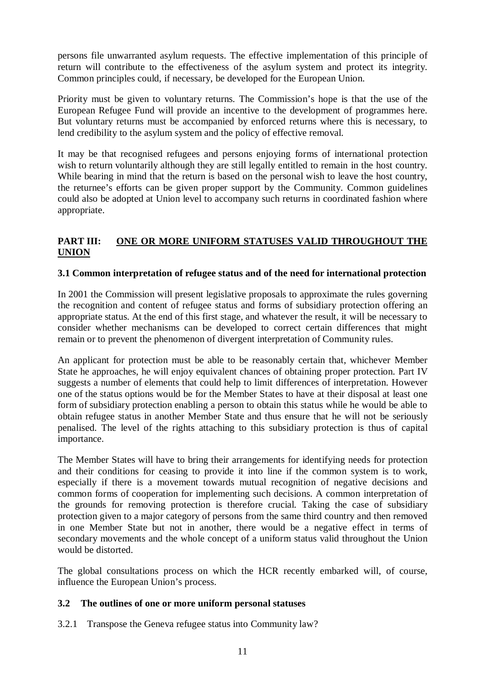persons file unwarranted asylum requests. The effective implementation of this principle of return will contribute to the effectiveness of the asylum system and protect its integrity. Common principles could, if necessary, be developed for the European Union.

Priority must be given to voluntary returns. The Commission's hope is that the use of the European Refugee Fund will provide an incentive to the development of programmes here. But voluntary returns must be accompanied by enforced returns where this is necessary, to lend credibility to the asylum system and the policy of effective removal.

It may be that recognised refugees and persons enjoying forms of international protection wish to return voluntarily although they are still legally entitled to remain in the host country. While bearing in mind that the return is based on the personal wish to leave the host country, the returnee's efforts can be given proper support by the Community. Common guidelines could also be adopted at Union level to accompany such returns in coordinated fashion where appropriate.

# **PART III: ONE OR MORE UNIFORM STATUSES VALID THROUGHOUT THE UNION**

### **3.1 Common interpretation of refugee status and of the need for international protection**

In 2001 the Commission will present legislative proposals to approximate the rules governing the recognition and content of refugee status and forms of subsidiary protection offering an appropriate status. At the end of this first stage, and whatever the result, it will be necessary to consider whether mechanisms can be developed to correct certain differences that might remain or to prevent the phenomenon of divergent interpretation of Community rules.

An applicant for protection must be able to be reasonably certain that, whichever Member State he approaches, he will enjoy equivalent chances of obtaining proper protection. Part IV suggests a number of elements that could help to limit differences of interpretation. However one of the status options would be for the Member States to have at their disposal at least one form of subsidiary protection enabling a person to obtain this status while he would be able to obtain refugee status in another Member State and thus ensure that he will not be seriously penalised. The level of the rights attaching to this subsidiary protection is thus of capital importance.

The Member States will have to bring their arrangements for identifying needs for protection and their conditions for ceasing to provide it into line if the common system is to work, especially if there is a movement towards mutual recognition of negative decisions and common forms of cooperation for implementing such decisions. A common interpretation of the grounds for removing protection is therefore crucial. Taking the case of subsidiary protection given to a major category of persons from the same third country and then removed in one Member State but not in another, there would be a negative effect in terms of secondary movements and the whole concept of a uniform status valid throughout the Union would be distorted.

The global consultations process on which the HCR recently embarked will, of course, influence the European Union's process.

### **3.2 The outlines of one or more uniform personal statuses**

3.2.1 Transpose the Geneva refugee status into Community law?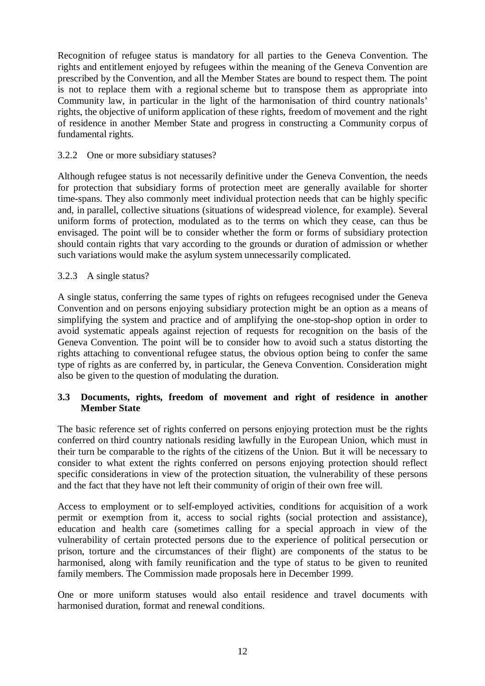Recognition of refugee status is mandatory for all parties to the Geneva Convention. The rights and entitlement enjoyed by refugees within the meaning of the Geneva Convention are prescribed by the Convention, and all the Member States are bound to respect them. The point is not to replace them with a regional scheme but to transpose them as appropriate into Community law, in particular in the light of the harmonisation of third country nationals' rights, the objective of uniform application of these rights, freedom of movement and the right of residence in another Member State and progress in constructing a Community corpus of fundamental rights.

### 3.2.2 One or more subsidiary statuses?

Although refugee status is not necessarily definitive under the Geneva Convention, the needs for protection that subsidiary forms of protection meet are generally available for shorter time-spans. They also commonly meet individual protection needs that can be highly specific and, in parallel, collective situations (situations of widespread violence, for example). Several uniform forms of protection, modulated as to the terms on which they cease, can thus be envisaged. The point will be to consider whether the form or forms of subsidiary protection should contain rights that vary according to the grounds or duration of admission or whether such variations would make the asylum system unnecessarily complicated.

### 3.2.3 A single status?

A single status, conferring the same types of rights on refugees recognised under the Geneva Convention and on persons enjoying subsidiary protection might be an option as a means of simplifying the system and practice and of amplifying the one-stop-shop option in order to avoid systematic appeals against rejection of requests for recognition on the basis of the Geneva Convention. The point will be to consider how to avoid such a status distorting the rights attaching to conventional refugee status, the obvious option being to confer the same type of rights as are conferred by, in particular, the Geneva Convention. Consideration might also be given to the question of modulating the duration.

#### **3.3 Documents, rights, freedom of movement and right of residence in another Member State**

The basic reference set of rights conferred on persons enjoying protection must be the rights conferred on third country nationals residing lawfully in the European Union, which must in their turn be comparable to the rights of the citizens of the Union. But it will be necessary to consider to what extent the rights conferred on persons enjoying protection should reflect specific considerations in view of the protection situation, the vulnerability of these persons and the fact that they have not left their community of origin of their own free will.

Access to employment or to self-employed activities, conditions for acquisition of a work permit or exemption from it, access to social rights (social protection and assistance), education and health care (sometimes calling for a special approach in view of the vulnerability of certain protected persons due to the experience of political persecution or prison, torture and the circumstances of their flight) are components of the status to be harmonised, along with family reunification and the type of status to be given to reunited family members. The Commission made proposals here in December 1999.

One or more uniform statuses would also entail residence and travel documents with harmonised duration, format and renewal conditions.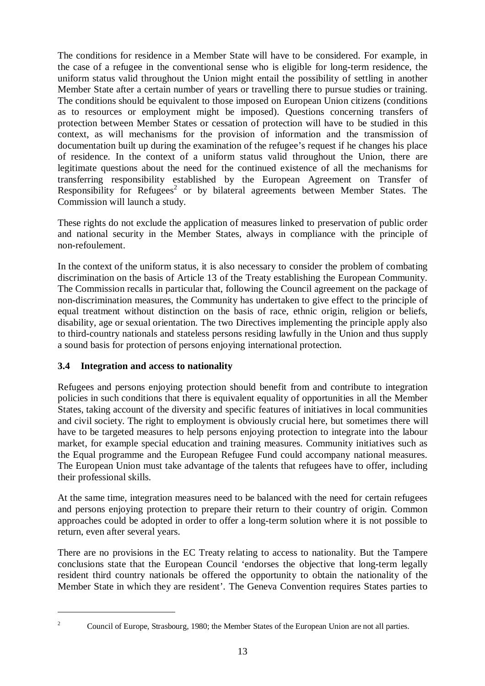The conditions for residence in a Member State will have to be considered. For example, in the case of a refugee in the conventional sense who is eligible for long-term residence, the uniform status valid throughout the Union might entail the possibility of settling in another Member State after a certain number of years or travelling there to pursue studies or training. The conditions should be equivalent to those imposed on European Union citizens (conditions as to resources or employment might be imposed). Questions concerning transfers of protection between Member States or cessation of protection will have to be studied in this context, as will mechanisms for the provision of information and the transmission of documentation built up during the examination of the refugee's request if he changes his place of residence. In the context of a uniform status valid throughout the Union, there are legitimate questions about the need for the continued existence of all the mechanisms for transferring responsibility established by the European Agreement on Transfer of Responsibility for  $Refuges<sup>2</sup>$  or by bilateral agreements between Member States. The Commission will launch a study.

These rights do not exclude the application of measures linked to preservation of public order and national security in the Member States, always in compliance with the principle of non-refoulement.

In the context of the uniform status, it is also necessary to consider the problem of combating discrimination on the basis of Article 13 of the Treaty establishing the European Community. The Commission recalls in particular that, following the Council agreement on the package of non-discrimination measures, the Community has undertaken to give effect to the principle of equal treatment without distinction on the basis of race, ethnic origin, religion or beliefs, disability, age or sexual orientation. The two Directives implementing the principle apply also to third-country nationals and stateless persons residing lawfully in the Union and thus supply a sound basis for protection of persons enjoying international protection.

# **3.4 Integration and access to nationality**

Refugees and persons enjoying protection should benefit from and contribute to integration policies in such conditions that there is equivalent equality of opportunities in all the Member States, taking account of the diversity and specific features of initiatives in local communities and civil society. The right to employment is obviously crucial here, but sometimes there will have to be targeted measures to help persons enjoying protection to integrate into the labour market, for example special education and training measures. Community initiatives such as the Equal programme and the European Refugee Fund could accompany national measures. The European Union must take advantage of the talents that refugees have to offer, including their professional skills.

At the same time, integration measures need to be balanced with the need for certain refugees and persons enjoying protection to prepare their return to their country of origin. Common approaches could be adopted in order to offer a long-term solution where it is not possible to return, even after several years.

There are no provisions in the EC Treaty relating to access to nationality. But the Tampere conclusions state that the European Council 'endorses the objective that long-term legally resident third country nationals be offered the opportunity to obtain the nationality of the Member State in which they are resident'. The Geneva Convention requires States parties to

<sup>&</sup>lt;sup>2</sup> Council of Europe, Strasbourg, 1980; the Member States of the European Union are not all parties.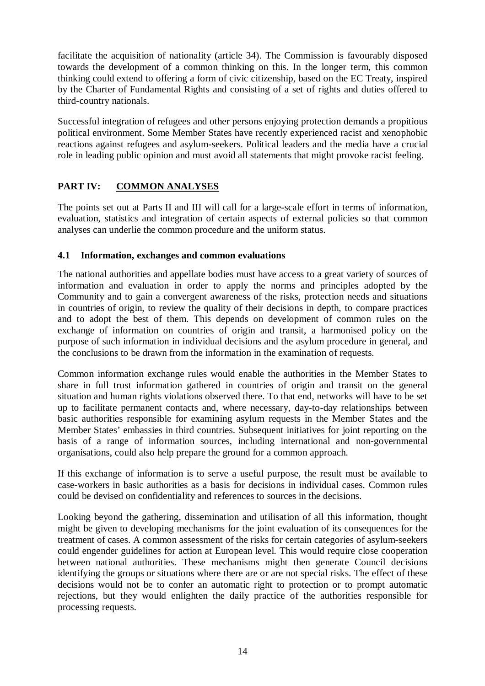facilitate the acquisition of nationality (article 34). The Commission is favourably disposed towards the development of a common thinking on this. In the longer term, this common thinking could extend to offering a form of civic citizenship, based on the EC Treaty, inspired by the Charter of Fundamental Rights and consisting of a set of rights and duties offered to third-country nationals.

Successful integration of refugees and other persons enjoying protection demands a propitious political environment. Some Member States have recently experienced racist and xenophobic reactions against refugees and asylum-seekers. Political leaders and the media have a crucial role in leading public opinion and must avoid all statements that might provoke racist feeling.

# **PART IV: COMMON ANALYSES**

The points set out at Parts II and III will call for a large-scale effort in terms of information, evaluation, statistics and integration of certain aspects of external policies so that common analyses can underlie the common procedure and the uniform status.

# **4.1 Information, exchanges and common evaluations**

The national authorities and appellate bodies must have access to a great variety of sources of information and evaluation in order to apply the norms and principles adopted by the Community and to gain a convergent awareness of the risks, protection needs and situations in countries of origin, to review the quality of their decisions in depth, to compare practices and to adopt the best of them. This depends on development of common rules on the exchange of information on countries of origin and transit, a harmonised policy on the purpose of such information in individual decisions and the asylum procedure in general, and the conclusions to be drawn from the information in the examination of requests.

Common information exchange rules would enable the authorities in the Member States to share in full trust information gathered in countries of origin and transit on the general situation and human rights violations observed there. To that end, networks will have to be set up to facilitate permanent contacts and, where necessary, day-to-day relationships between basic authorities responsible for examining asylum requests in the Member States and the Member States' embassies in third countries. Subsequent initiatives for joint reporting on the basis of a range of information sources, including international and non-governmental organisations, could also help prepare the ground for a common approach.

If this exchange of information is to serve a useful purpose, the result must be available to case-workers in basic authorities as a basis for decisions in individual cases. Common rules could be devised on confidentiality and references to sources in the decisions.

Looking beyond the gathering, dissemination and utilisation of all this information, thought might be given to developing mechanisms for the joint evaluation of its consequences for the treatment of cases. A common assessment of the risks for certain categories of asylum-seekers could engender guidelines for action at European level. This would require close cooperation between national authorities. These mechanisms might then generate Council decisions identifying the groups or situations where there are or are not special risks. The effect of these decisions would not be to confer an automatic right to protection or to prompt automatic rejections, but they would enlighten the daily practice of the authorities responsible for processing requests.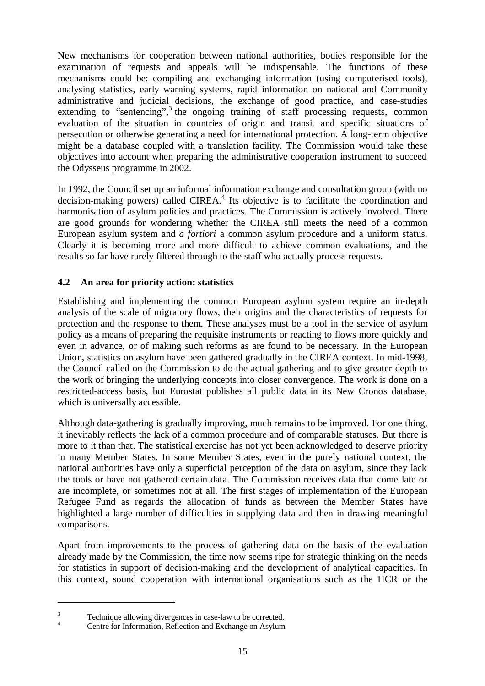New mechanisms for cooperation between national authorities, bodies responsible for the examination of requests and appeals will be indispensable. The functions of these mechanisms could be: compiling and exchanging information (using computerised tools), analysing statistics, early warning systems, rapid information on national and Community administrative and judicial decisions, the exchange of good practice, and case-studies extending to "sentencing",<sup>3</sup> the ongoing training of staff processing requests, common evaluation of the situation in countries of origin and transit and specific situations of persecution or otherwise generating a need for international protection. A long-term objective might be a database coupled with a translation facility. The Commission would take these objectives into account when preparing the administrative cooperation instrument to succeed the Odysseus programme in 2002.

In 1992, the Council set up an informal information exchange and consultation group (with no decision-making powers) called  $CIREA<sup>4</sup>$  Its objective is to facilitate the coordination and harmonisation of asylum policies and practices. The Commission is actively involved. There are good grounds for wondering whether the CIREA still meets the need of a common European asylum system and *a fortiori* a common asylum procedure and a uniform status. Clearly it is becoming more and more difficult to achieve common evaluations, and the results so far have rarely filtered through to the staff who actually process requests.

# **4.2 An area for priority action: statistics**

Establishing and implementing the common European asylum system require an in-depth analysis of the scale of migratory flows, their origins and the characteristics of requests for protection and the response to them. These analyses must be a tool in the service of asylum policy as a means of preparing the requisite instruments or reacting to flows more quickly and even in advance, or of making such reforms as are found to be necessary. In the European Union, statistics on asylum have been gathered gradually in the CIREA context. In mid-1998, the Council called on the Commission to do the actual gathering and to give greater depth to the work of bringing the underlying concepts into closer convergence. The work is done on a restricted-access basis, but Eurostat publishes all public data in its New Cronos database, which is universally accessible.

Although data-gathering is gradually improving, much remains to be improved. For one thing, it inevitably reflects the lack of a common procedure and of comparable statuses. But there is more to it than that. The statistical exercise has not yet been acknowledged to deserve priority in many Member States. In some Member States, even in the purely national context, the national authorities have only a superficial perception of the data on asylum, since they lack the tools or have not gathered certain data. The Commission receives data that come late or are incomplete, or sometimes not at all. The first stages of implementation of the European Refugee Fund as regards the allocation of funds as between the Member States have highlighted a large number of difficulties in supplying data and then in drawing meaningful comparisons.

Apart from improvements to the process of gathering data on the basis of the evaluation already made by the Commission, the time now seems ripe for strategic thinking on the needs for statistics in support of decision-making and the development of analytical capacities. In this context, sound cooperation with international organisations such as the HCR or the

<sup>&</sup>lt;sup>3</sup> Technique allowing divergences in case-law to be corrected.<br><sup>4</sup> Centre for Information, Reflection and Exchange on Asylum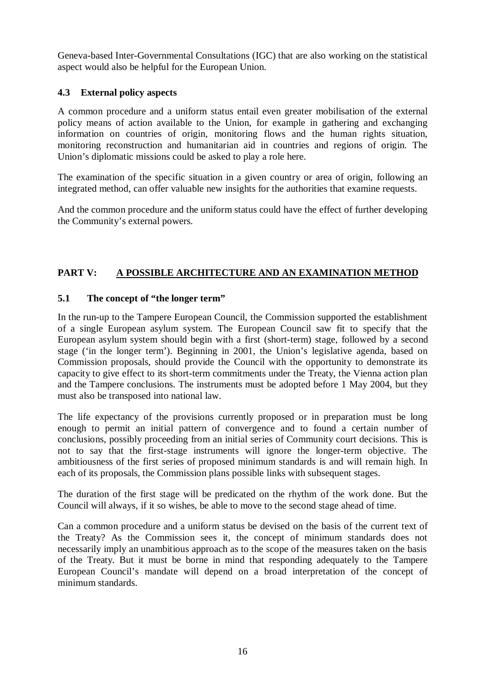Geneva-based Inter-Governmental Consultations (IGC) that are also working on the statistical aspect would also be helpful for the European Union.

# **4.3 External policy aspects**

A common procedure and a uniform status entail even greater mobilisation of the external policy means of action available to the Union, for example in gathering and exchanging information on countries of origin, monitoring flows and the human rights situation, monitoring reconstruction and humanitarian aid in countries and regions of origin. The Union's diplomatic missions could be asked to play a role here.

The examination of the specific situation in a given country or area of origin, following an integrated method, can offer valuable new insights for the authorities that examine requests.

And the common procedure and the uniform status could have the effect of further developing the Community's external powers.

# **PART V: A POSSIBLE ARCHITECTURE AND AN EXAMINATION METHOD**

# **5.1 The concept of "the longer term"**

In the run-up to the Tampere European Council, the Commission supported the establishment of a single European asylum system. The European Council saw fit to specify that the European asylum system should begin with a first (short-term) stage, followed by a second stage ('in the longer term'). Beginning in 2001, the Union's legislative agenda, based on Commission proposals, should provide the Council with the opportunity to demonstrate its capacity to give effect to its short-term commitments under the Treaty, the Vienna action plan and the Tampere conclusions. The instruments must be adopted before 1 May 2004, but they must also be transposed into national law.

The life expectancy of the provisions currently proposed or in preparation must be long enough to permit an initial pattern of convergence and to found a certain number of conclusions, possibly proceeding from an initial series of Community court decisions. This is not to say that the first-stage instruments will ignore the longer-term objective. The ambitiousness of the first series of proposed minimum standards is and will remain high. In each of its proposals, the Commission plans possible links with subsequent stages.

The duration of the first stage will be predicated on the rhythm of the work done. But the Council will always, if it so wishes, be able to move to the second stage ahead of time.

Can a common procedure and a uniform status be devised on the basis of the current text of the Treaty? As the Commission sees it, the concept of minimum standards does not necessarily imply an unambitious approach as to the scope of the measures taken on the basis of the Treaty. But it must be borne in mind that responding adequately to the Tampere European Council's mandate will depend on a broad interpretation of the concept of minimum standards.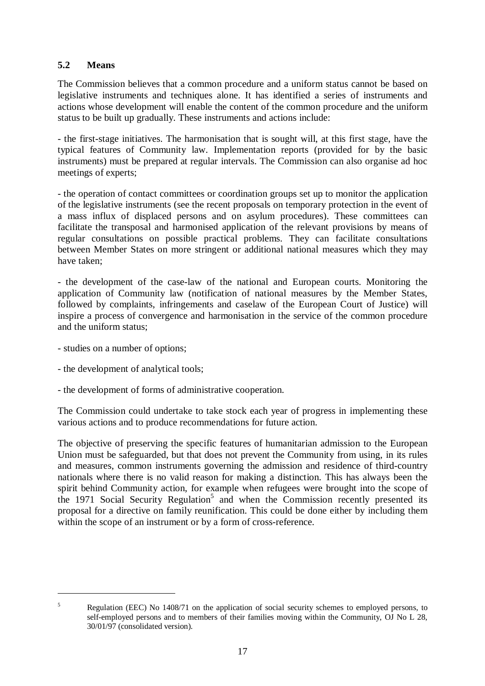# **5.2 Means**

The Commission believes that a common procedure and a uniform status cannot be based on legislative instruments and techniques alone. It has identified a series of instruments and actions whose development will enable the content of the common procedure and the uniform status to be built up gradually. These instruments and actions include:

- the first-stage initiatives. The harmonisation that is sought will, at this first stage, have the typical features of Community law. Implementation reports (provided for by the basic instruments) must be prepared at regular intervals. The Commission can also organise ad hoc meetings of experts;

- the operation of contact committees or coordination groups set up to monitor the application of the legislative instruments (see the recent proposals on temporary protection in the event of a mass influx of displaced persons and on asylum procedures). These committees can facilitate the transposal and harmonised application of the relevant provisions by means of regular consultations on possible practical problems. They can facilitate consultations between Member States on more stringent or additional national measures which they may have taken;

- the development of the case-law of the national and European courts. Monitoring the application of Community law (notification of national measures by the Member States, followed by complaints, infringements and caselaw of the European Court of Justice) will inspire a process of convergence and harmonisation in the service of the common procedure and the uniform status;

- studies on a number of options;
- the development of analytical tools;
- the development of forms of administrative cooperation.

The Commission could undertake to take stock each year of progress in implementing these various actions and to produce recommendations for future action.

The objective of preserving the specific features of humanitarian admission to the European Union must be safeguarded, but that does not prevent the Community from using, in its rules and measures, common instruments governing the admission and residence of third-country nationals where there is no valid reason for making a distinction. This has always been the spirit behind Community action, for example when refugees were brought into the scope of the 1971 Social Security Regulation<sup>5</sup> and when the Commission recently presented its proposal for a directive on family reunification. This could be done either by including them within the scope of an instrument or by a form of cross-reference.

<sup>&</sup>lt;sup>5</sup> Regulation (EEC) No 1408/71 on the application of social security schemes to employed persons, to self-employed persons and to members of their families moving within the Community, OJ No L 28, 30/01/97 (consolidated version).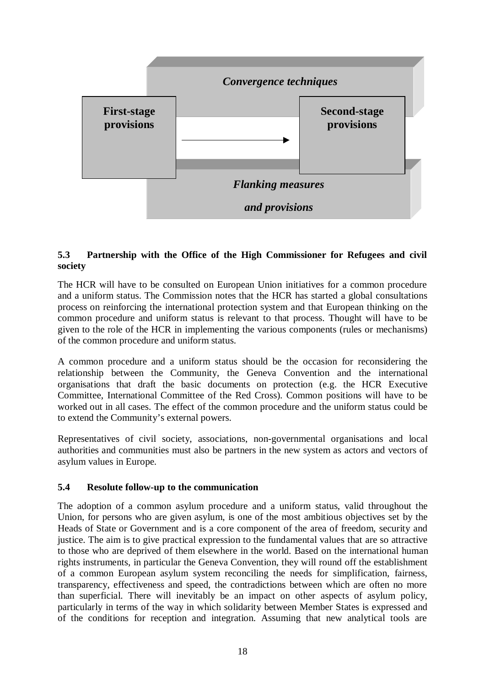

# **5.3 Partnership with the Office of the High Commissioner for Refugees and civil society**

The HCR will have to be consulted on European Union initiatives for a common procedure and a uniform status. The Commission notes that the HCR has started a global consultations process on reinforcing the international protection system and that European thinking on the common procedure and uniform status is relevant to that process. Thought will have to be given to the role of the HCR in implementing the various components (rules or mechanisms) of the common procedure and uniform status.

A common procedure and a uniform status should be the occasion for reconsidering the relationship between the Community, the Geneva Convention and the international organisations that draft the basic documents on protection (e.g. the HCR Executive Committee, International Committee of the Red Cross). Common positions will have to be worked out in all cases. The effect of the common procedure and the uniform status could be to extend the Community's external powers.

Representatives of civil society, associations, non-governmental organisations and local authorities and communities must also be partners in the new system as actors and vectors of asylum values in Europe.

### **5.4 Resolute follow-up to the communication**

The adoption of a common asylum procedure and a uniform status, valid throughout the Union, for persons who are given asylum, is one of the most ambitious objectives set by the Heads of State or Government and is a core component of the area of freedom, security and justice. The aim is to give practical expression to the fundamental values that are so attractive to those who are deprived of them elsewhere in the world. Based on the international human rights instruments, in particular the Geneva Convention, they will round off the establishment of a common European asylum system reconciling the needs for simplification, fairness, transparency, effectiveness and speed, the contradictions between which are often no more than superficial. There will inevitably be an impact on other aspects of asylum policy, particularly in terms of the way in which solidarity between Member States is expressed and of the conditions for reception and integration. Assuming that new analytical tools are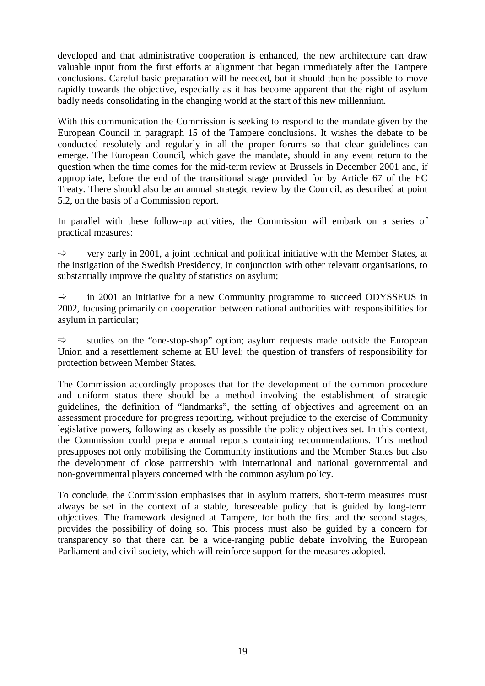developed and that administrative cooperation is enhanced, the new architecture can draw valuable input from the first efforts at alignment that began immediately after the Tampere conclusions. Careful basic preparation will be needed, but it should then be possible to move rapidly towards the objective, especially as it has become apparent that the right of asylum badly needs consolidating in the changing world at the start of this new millennium.

With this communication the Commission is seeking to respond to the mandate given by the European Council in paragraph 15 of the Tampere conclusions. It wishes the debate to be conducted resolutely and regularly in all the proper forums so that clear guidelines can emerge. The European Council, which gave the mandate, should in any event return to the question when the time comes for the mid-term review at Brussels in December 2001 and, if appropriate, before the end of the transitional stage provided for by Article 67 of the EC Treaty. There should also be an annual strategic review by the Council, as described at point 5.2, on the basis of a Commission report.

In parallel with these follow-up activities, the Commission will embark on a series of practical measures:

 $\Rightarrow$  very early in 2001, a joint technical and political initiative with the Member States, at the instigation of the Swedish Presidency, in conjunction with other relevant organisations, to substantially improve the quality of statistics on asylum;

 $\Rightarrow$  in 2001 an initiative for a new Community programme to succeed ODYSSEUS in 2002, focusing primarily on cooperation between national authorities with responsibilities for asylum in particular;

 $\Rightarrow$  studies on the "one-stop-shop" option; asylum requests made outside the European Union and a resettlement scheme at EU level; the question of transfers of responsibility for protection between Member States.

The Commission accordingly proposes that for the development of the common procedure and uniform status there should be a method involving the establishment of strategic guidelines, the definition of "landmarks", the setting of objectives and agreement on an assessment procedure for progress reporting, without prejudice to the exercise of Community legislative powers, following as closely as possible the policy objectives set. In this context, the Commission could prepare annual reports containing recommendations. This method presupposes not only mobilising the Community institutions and the Member States but also the development of close partnership with international and national governmental and non-governmental players concerned with the common asylum policy.

To conclude, the Commission emphasises that in asylum matters, short-term measures must always be set in the context of a stable, foreseeable policy that is guided by long-term objectives. The framework designed at Tampere, for both the first and the second stages, provides the possibility of doing so. This process must also be guided by a concern for transparency so that there can be a wide-ranging public debate involving the European Parliament and civil society, which will reinforce support for the measures adopted.